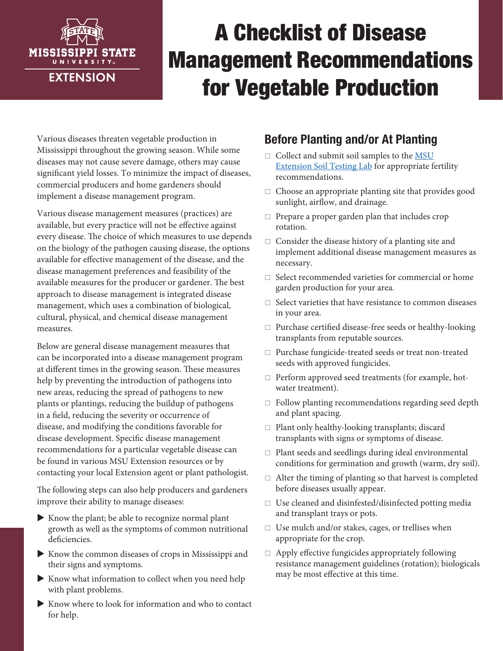

# A Checklist of Disease Management Recommendations for Vegetable Production

Various diseases threaten vegetable production in Mississippi throughout the growing season. While some diseases may not cause severe damage, others may cause significant yield losses. To minimize the impact of diseases, commercial producers and home gardeners should implement a disease management program.

Various disease management measures (practices) are available, but every practice will not be effective against every disease. The choice of which measures to use depends on the biology of the pathogen causing disease, the options available for effective management of the disease, and the disease management preferences and feasibility of the available measures for the producer or gardener. The best approach to disease management is integrated disease management, which uses a combination of biological, cultural, physical, and chemical disease management measures.

Below are general disease management measures that can be incorporated into a disease management program at different times in the growing season. These measures help by preventing the introduction of pathogens into new areas, reducing the spread of pathogens to new plants or plantings, reducing the buildup of pathogens in a field, reducing the severity or occurrence of disease, and modifying the conditions favorable for disease development. Specific disease management recommendations for a particular vegetable disease can be found in various MSU Extension resources or by contacting your local Extension agent or plant pathologist.

The following steps can also help producers and gardeners improve their ability to manage diseases:

- $\blacktriangleright$  Know the plant; be able to recognize normal plant growth as well as the symptoms of common nutritional deficiencies.
- $\blacktriangleright$  Know the common diseases of crops in Mississippi and their signs and symptoms.
- $\blacktriangleright$  Know what information to collect when you need help with plant problems.
- $\blacktriangleright$  Know where to look for information and who to contact for help.

## Before Planting and/or At Planting

- $\Box$  Collect and submit soil samples to the [MSU](http://extension.msstate.edu/lawn-and-garden/soil-testing) [Extension Soil Testing Lab](http://extension.msstate.edu/lawn-and-garden/soil-testing) for appropriate fertility recommendations.
- $\Box$  Choose an appropriate planting site that provides good sunlight, airflow, and drainage.
- $\Box$  Prepare a proper garden plan that includes crop rotation.
- $\Box$  Consider the disease history of a planting site and implement additional disease management measures as necessary.
- $\Box$  Select recommended varieties for commercial or home garden production for your area.
- $\square$  Select varieties that have resistance to common diseases in your area.
- $\Box$  Purchase certified disease-free seeds or healthy-looking transplants from reputable sources.
- $\Box$  Purchase fungicide-treated seeds or treat non-treated seeds with approved fungicides.
- $\Box$  Perform approved seed treatments (for example, hotwater treatment).
- $\Box$  Follow planting recommendations regarding seed depth and plant spacing.
- $\Box$  Plant only healthy-looking transplants; discard transplants with signs or symptoms of disease.
- $\Box$  Plant seeds and seedlings during ideal environmental conditions for germination and growth (warm, dry soil).
- $\Box$  Alter the timing of planting so that harvest is completed before diseases usually appear.
- $\Box$  Use cleaned and disinfested/disinfected potting media and transplant trays or pots.
- $\Box$  Use mulch and/or stakes, cages, or trellises when appropriate for the crop.
- $\Box$  Apply effective fungicides appropriately following resistance management guidelines (rotation); biologicals may be most effective at this time.